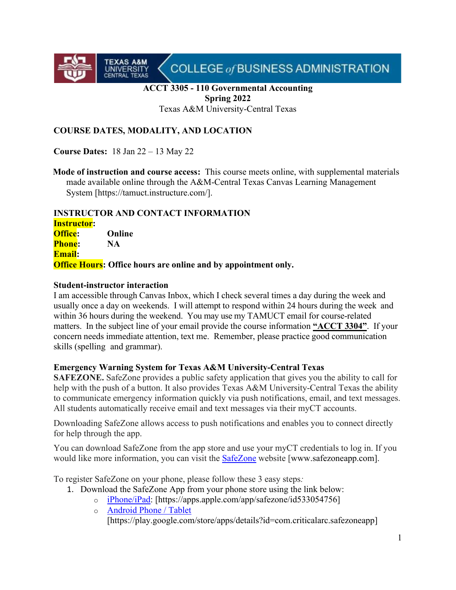

## **ACCT 3305 - 110 Governmental Accounting Spring 2022**

Texas A&M University-Central Texas

## **COURSE DATES, MODALITY, AND LOCATION**

**Course Dates:** 18 Jan 22 – 13 May 22

**TEXAS A&M**<br>UNIVERSITY<br>CENTRAL TEXAS

**Mode of instruction and course access:** This course meets online, with supplemental materials made available online through the A&M-Central Texas Canvas Learning Management System [https://tamuct.instructure.com/].

## **INSTRUCTOR AND CONTACT INFORMATION**

**Instructor: Office: Online Phone: NA Email: Office Hours: Office hours are online and by appointment only.**

#### **Student-instructor interaction**

I am accessible through Canvas Inbox, which I check several times a day during the week and usually once a day on weekends. I will attempt to respond within 24 hours during the week and within 36 hours during the weekend. You may use my TAMUCT email for course-related matters. In the subject line of your email provide the course information **"ACCT 3304"**. If your concern needs immediate attention, text me. Remember, please practice good communication skills (spelling and grammar).

## **Emergency Warning System for Texas A&M University-Central Texas**

**SAFEZONE.** SafeZone provides a public safety application that gives you the ability to call for help with the push of a button. It also provides Texas A&M University-Central Texas the ability to communicate emergency information quickly via push notifications, email, and text messages. All students automatically receive email and text messages via their myCT accounts.

Downloading SafeZone allows access to push notifications and enables you to connect directly for help through the app.

You can download SafeZone from the app store and use your myCT credentials to log in. If you would like more information, you can visit the [SafeZone](http://www.safezoneapp.com/) website [www.safezoneapp.com].

To register SafeZone on your phone, please follow these 3 easy steps*:* 

- 1. Download the SafeZone App from your phone store using the link below:
	- o [iPhone/iPad:](https://apps.apple.com/app/safezone/id533054756) [https://apps.apple.com/app/safezone/id533054756]
	- o [Android Phone / Tablet](https://play.google.com/store/apps/details?id=com.criticalarc.safezoneapp)

[https://play.google.com/store/apps/details?id=com.criticalarc.safezoneapp]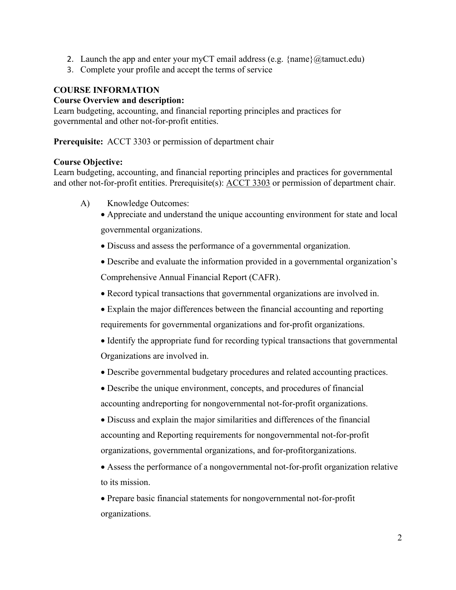- 2. Launch the app and enter your myCT email address (e.g.  $\{\text{name}\}\langle\omega\rangle$  tamuct.edu)
- 3. Complete your profile and accept the terms of service

## **COURSE INFORMATION**

#### **Course Overview and description:**

Learn budgeting, accounting, and financial reporting principles and practices for governmental and other not-for-profit entities.

**Prerequisite:** ACCT 3303 or permission of department chair

#### **Course Objective:**

Learn budgeting, accounting, and financial reporting principles and practices for governmental and other not-for-profit entities. Prerequisite(s): [ACCT](http://catalog.tamuct.edu/search/?P=ACCT%203303) 3303 or permission of department chair.

- A) Knowledge Outcomes:
	- Appreciate and understand the unique accounting environment for state and local governmental organizations.
	- Discuss and assess the performance of a governmental organization.
	- Describe and evaluate the information provided in a governmental organization's Comprehensive Annual Financial Report (CAFR).
	- Record typical transactions that governmental organizations are involved in.
	- Explain the major differences between the financial accounting and reporting requirements for governmental organizations and for‐profit organizations.
	- Identify the appropriate fund for recording typical transactions that governmental Organizations are involved in.
	- Describe governmental budgetary procedures and related accounting practices.
	- Describe the unique environment, concepts, and procedures of financial accounting andreporting for nongovernmental not‐for‐profit organizations.
	- Discuss and explain the major similarities and differences of the financial accounting and Reporting requirements for nongovernmental not‐for‐profit organizations, governmental organizations, and for‐profitorganizations.
	- Assess the performance of a nongovernmental not-for-profit organization relative to its mission.

• Prepare basic financial statements for nongovernmental not‐for‐profit organizations.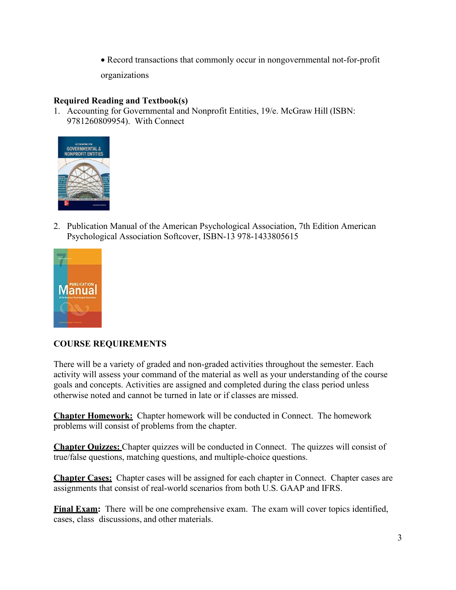• Record transactions that commonly occur in nongovernmental not‐for‐profit

organizations

## **Required Reading and Textbook(s)**

1. Accounting for Governmental and Nonprofit Entities, 19/e. McGraw Hill (ISBN: 9781260809954). With Connect



2. Publication Manual of the American Psychological Association, 7th Edition American Psychological Association Softcover, ISBN-13 978-1433805615



# **COURSE REQUIREMENTS**

There will be a variety of graded and non-graded activities throughout the semester. Each activity will assess your command of the material as well as your understanding of the course goals and concepts. Activities are assigned and completed during the class period unless otherwise noted and cannot be turned in late or if classes are missed.

**Chapter Homework:** Chapter homework will be conducted in Connect. The homework problems will consist of problems from the chapter.

**Chapter Quizzes:** Chapter quizzes will be conducted in Connect. The quizzes will consist of true/false questions, matching questions, and multiple-choice questions.

**Chapter Cases:** Chapter cases will be assigned for each chapter in Connect. Chapter cases are assignments that consist of real-world scenarios from both U.S. GAAP and IFRS.

**Final Exam:** There will be one comprehensive exam. The exam will cover topics identified, cases, class discussions, and other materials.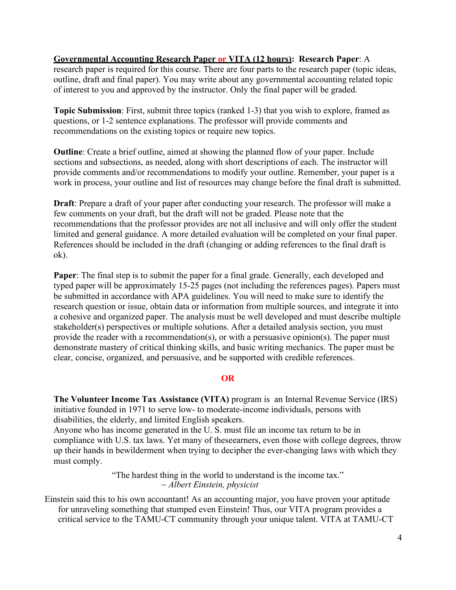## **Governmental Accounting Research Paper or VITA (12 hours): Research Paper**: A

research paper is required for this course. There are four parts to the research paper (topic ideas, outline, draft and final paper). You may write about any governmental accounting related topic of interest to you and approved by the instructor. Only the final paper will be graded.

**Topic Submission**: First, submit three topics (ranked 1-3) that you wish to explore, framed as questions, or 1-2 sentence explanations. The professor will provide comments and recommendations on the existing topics or require new topics.

**Outline**: Create a brief outline, aimed at showing the planned flow of your paper. Include sections and subsections, as needed, along with short descriptions of each. The instructor will provide comments and/or recommendations to modify your outline. Remember, your paper is a work in process, your outline and list of resources may change before the final draft is submitted.

**Draft**: Prepare a draft of your paper after conducting your research. The professor will make a few comments on your draft, but the draft will not be graded. Please note that the recommendations that the professor provides are not all inclusive and will only offer the student limited and general guidance. A more detailed evaluation will be completed on your final paper. References should be included in the draft (changing or adding references to the final draft is ok).

**Paper**: The final step is to submit the paper for a final grade. Generally, each developed and typed paper will be approximately 15-25 pages (not including the references pages). Papers must be submitted in accordance with APA guidelines. You will need to make sure to identify the research question or issue, obtain data or information from multiple sources, and integrate it into a cohesive and organized paper. The analysis must be well developed and must describe multiple stakeholder(s) perspectives or multiple solutions. After a detailed analysis section, you must provide the reader with a recommendation(s), or with a persuasive opinion(s). The paper must demonstrate mastery of critical thinking skills, and basic writing mechanics. The paper must be clear, concise, organized, and persuasive, and be supported with credible references.

#### **OR**

**The Volunteer Income Tax Assistance (VITA)** program is an Internal Revenue Service (IRS) initiative founded in 1971 to serve low- to moderate-income individuals, persons with disabilities, the elderly, and limited English speakers.

Anyone who has income generated in the U. S. must file an income tax return to be in compliance with U.S. tax laws. Yet many of theseearners, even those with college degrees, throw up their hands in bewilderment when trying to decipher the ever-changing laws with which they must comply.

> "The hardest thing in the world to understand is the income tax." *~ Albert Einstein, physicist*

Einstein said this to his own accountant! As an accounting major, you have proven your aptitude for unraveling something that stumped even Einstein! Thus, our VITA program provides a critical service to the TAMU-CT community through your unique talent. VITA at TAMU-CT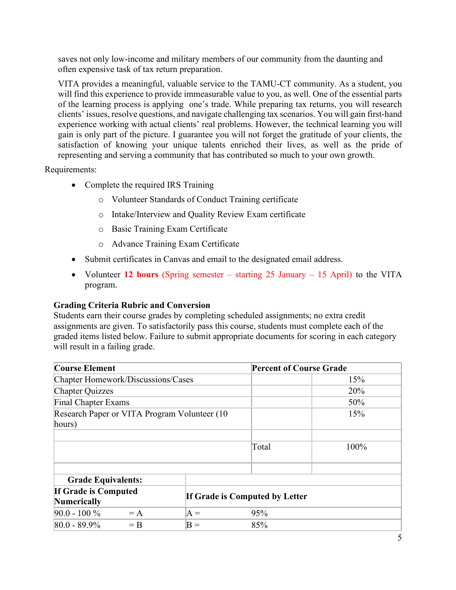saves not only low-income and military members of our community from the daunting and often expensive task of tax return preparation.

VITA provides a meaningful, valuable service to the TAMU-CT community. As a student, you will find this experience to provide immeasurable value to you, as well. One of the essential parts of the learning process is applying one's trade. While preparing tax returns, you will research clients' issues, resolve questions, and navigate challenging tax scenarios. You will gain first-hand experience working with actual clients' real problems. However, the technical learning you will gain is only part of the picture. I guarantee you will not forget the gratitude of your clients, the satisfaction of knowing your unique talents enriched their lives, as well as the pride of representing and serving a community that has contributed so much to your own growth.

Requirements:

- Complete the required IRS Training
	- o Volunteer Standards of Conduct Training certificate
	- o Intake/Interview and Quality Review Exam certificate
	- o Basic Training Exam Certificate
	- o Advance Training Exam Certificate
- Submit certificates in Canvas and email to the designated email address.
- Volunteer 12 hours (Spring semester starting 25 January 15 April) to the VITA program.

## **Grading Criteria Rubric and Conversion**

Students earn their course grades by completing scheduled assignments; no extra credit assignments are given. To satisfactorily pass this course, students must complete each of the graded items listed below. Failure to submit appropriate documents for scoring in each category will result in a failing grade.

| <b>Course Element</b>                                                               |       | <b>Percent of Course Grade</b> |      |  |
|-------------------------------------------------------------------------------------|-------|--------------------------------|------|--|
| Chapter Homework/Discussions/Cases                                                  |       | 15%                            |      |  |
| <b>Chapter Quizzes</b>                                                              |       |                                | 20%  |  |
| <b>Final Chapter Exams</b>                                                          |       |                                | 50%  |  |
| Research Paper or VITA Program Volunteer (10)                                       |       |                                | 15%  |  |
| hours)                                                                              |       |                                |      |  |
|                                                                                     |       |                                |      |  |
|                                                                                     |       | Total                          | 100% |  |
|                                                                                     |       |                                |      |  |
| <b>Grade Equivalents:</b>                                                           |       |                                |      |  |
| <b>If Grade is Computed</b><br>If Grade is Computed by Letter<br><b>Numerically</b> |       |                                |      |  |
| $90.0 - 100\%$<br>$= A$                                                             | $A =$ | 95%                            |      |  |
| $80.0 - 89.9\%$<br>$=$ B                                                            | $B =$ | 85%                            |      |  |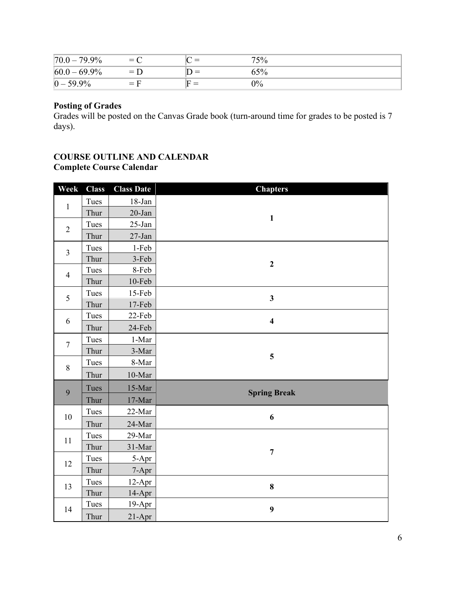| 79.9%<br> 70.0  | $= 0$<br>╰ |                          | 75%   |  |
|-----------------|------------|--------------------------|-------|--|
| $60.0 - 69.9\%$ | $= 1$      | $\overline{\phantom{a}}$ | $5\%$ |  |
| $ 0 - 59.9\% $  | $=$        | -                        | $0\%$ |  |

# **Posting of Grades**

Grades will be posted on the Canvas Grade book (turn-around time for grades to be posted is 7 days).

## **COURSE OUTLINE AND CALENDAR Complete Course Calendar**

| Week           | <b>Class</b>                           | <b>Class Date</b> | <b>Chapters</b>         |
|----------------|----------------------------------------|-------------------|-------------------------|
| $\mathbf{1}$   | Tues                                   | $18 - Jan$        |                         |
|                | Thur                                   | $20$ -Jan         | $\mathbf{1}$            |
| $\overline{2}$ | Tues                                   | 25-Jan            |                         |
|                | Thur                                   | $27-Ian$          |                         |
| $\overline{3}$ | Tues                                   | 1-Feb             |                         |
|                | Thur                                   | 3-Feb             | $\boldsymbol{2}$        |
| $\overline{4}$ | Tues                                   | 8-Feb             |                         |
|                | Thur                                   | $10$ -Feb         |                         |
| 5              | Tues                                   | 15-Feb            | $\overline{\mathbf{3}}$ |
|                | Thur                                   | $17-Feb$          |                         |
| 6              | Tues                                   | 22-Feb            | $\overline{\mathbf{4}}$ |
| Thur           |                                        | 24-Feb            |                         |
| $\tau$         | $1$ -Mar $\,$<br>Tues<br>Thur<br>3-Mar |                   |                         |
|                |                                        | 5                 |                         |
| 8              | Tues                                   | 8-Mar             |                         |
|                | Thur                                   | $10$ -Mar         |                         |
| 9              | Tues                                   | 15-Mar            |                         |
|                | Thur                                   | $17-Mar$          | <b>Spring Break</b>     |
|                | Tues                                   | 22-Mar            |                         |
| 10             | Thur                                   | $24$ -Mar         | 6                       |
| 11             | Tues                                   | 29-Mar            |                         |
|                | Thur                                   | $31$ -Mar         |                         |
| 12             | Tues                                   | 5-Apr             | $\overline{7}$          |
|                | Thur                                   | 7-Apr             |                         |
| 13             | Tues                                   | $12-Apr$          | 8                       |
|                | Thur                                   | 14-Apr            |                         |
| 14             | Tues                                   | 19-Apr            | 9                       |
|                | Thur                                   | $21-Apr$          |                         |
|                |                                        |                   |                         |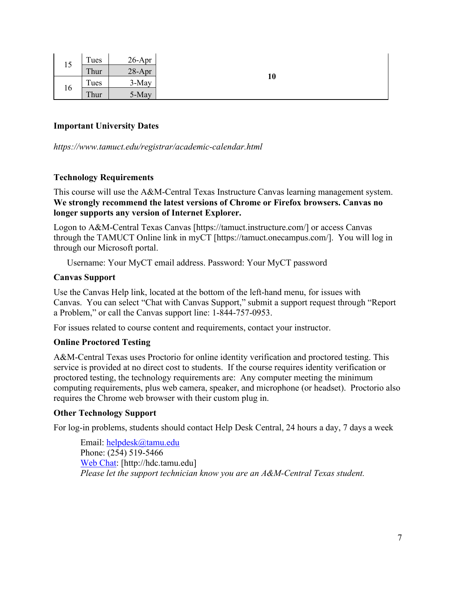| 15 | Tues | $26$ -Apr |  |
|----|------|-----------|--|
|    | Thur | $28-Apr$  |  |
| 16 | Tues | 3-May     |  |
|    | Thur | 5-May     |  |

## **Important University Dates**

*https://www.tamuct.edu/registrar/academic-calendar.html*

## **Technology Requirements**

This course will use the A&M-Central Texas Instructure Canvas learning management system. **We strongly recommend the latest versions of Chrome or Firefox browsers. Canvas no longer supports any version of Internet Explorer.**

Logon to A&M-Central Texas Canvas [https://tamuct.instructure.com/] or access Canvas through the TAMUCT Online link in myCT [https://tamuct.onecampus.com/]. You will log in through our Microsoft portal.

Username: Your MyCT email address. Password: Your MyCT password

#### **Canvas Support**

Use the Canvas Help link, located at the bottom of the left-hand menu, for issues with Canvas. You can select "Chat with Canvas Support," submit a support request through "Report a Problem," or call the Canvas support line: 1-844-757-0953.

For issues related to course content and requirements, contact your instructor.

#### **Online Proctored Testing**

A&M-Central Texas uses Proctorio for online identity verification and proctored testing. This service is provided at no direct cost to students. If the course requires identity verification or proctored testing, the technology requirements are: Any computer meeting the minimum computing requirements, plus web camera, speaker, and microphone (or headset). Proctorio also requires the Chrome web browser with their custom plug in.

#### **Other Technology Support**

For log-in problems, students should contact Help Desk Central, 24 hours a day, 7 days a week

Email: [helpdesk@tamu.edu](mailto:helpdesk@tamu.edu) Phone: (254) 519-5466 [Web Chat:](http://hdc.tamu.edu/) [http://hdc.tamu.edu] *Please let the support technician know you are an A&M-Central Texas student.*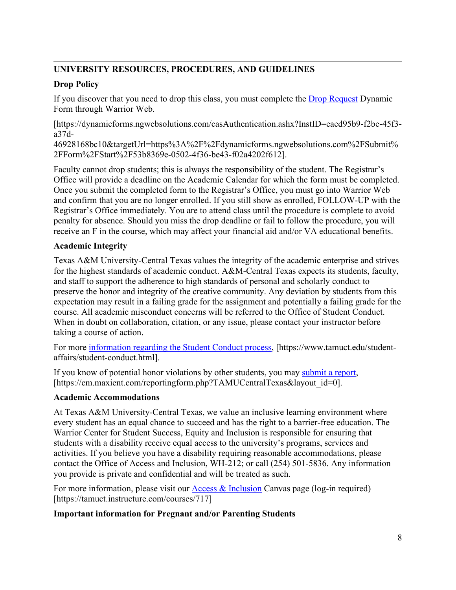# **UNIVERSITY RESOURCES, PROCEDURES, AND GUIDELINES**

# **Drop Policy**

If you discover that you need to drop this class, you must complete the [Drop Request](https://dynamicforms.ngwebsolutions.com/casAuthentication.ashx?InstID=eaed95b9-f2be-45f3-a37d-46928168bc10&targetUrl=https%3A%2F%2Fdynamicforms.ngwebsolutions.com%2FSubmit%2FForm%2FStart%2F53b8369e-0502-4f36-be43-f02a4202f612) Dynamic Form through Warrior Web.

[https://dynamicforms.ngwebsolutions.com/casAuthentication.ashx?InstID=eaed95b9-f2be-45f3 a37d-

46928168bc10&targetUrl=https%3A%2F%2Fdynamicforms.ngwebsolutions.com%2FSubmit% 2FForm%2FStart%2F53b8369e-0502-4f36-be43-f02a4202f612].

Faculty cannot drop students; this is always the responsibility of the student. The Registrar's Office will provide a deadline on the Academic Calendar for which the form must be completed. Once you submit the completed form to the Registrar's Office, you must go into Warrior Web and confirm that you are no longer enrolled. If you still show as enrolled, FOLLOW-UP with the Registrar's Office immediately. You are to attend class until the procedure is complete to avoid penalty for absence. Should you miss the drop deadline or fail to follow the procedure, you will receive an F in the course, which may affect your financial aid and/or VA educational benefits.

# **Academic Integrity**

Texas A&M University-Central Texas values the integrity of the academic enterprise and strives for the highest standards of academic conduct. A&M-Central Texas expects its students, faculty, and staff to support the adherence to high standards of personal and scholarly conduct to preserve the honor and integrity of the creative community. Any deviation by students from this expectation may result in a failing grade for the assignment and potentially a failing grade for the course. All academic misconduct concerns will be referred to the Office of Student Conduct. When in doubt on collaboration, citation, or any issue, please contact your instructor before taking a course of action.

For more [information](https://nam04.safelinks.protection.outlook.com/?url=https%3A%2F%2Fwww.tamuct.edu%2Fstudent-affairs%2Fstudent-conduct.html&data=04%7C01%7Clisa.bunkowski%40tamuct.edu%7Ccfb6e486f24745f53e1a08d910055cb2%7C9eed4e3000f744849ff193ad8005acec%7C0%7C0%7C637558437485252160%7CUnknown%7CTWFpbGZsb3d8eyJWIjoiMC4wLjAwMDAiLCJQIjoiV2luMzIiLCJBTiI6Ik1haWwiLCJXVCI6Mn0%3D%7C1000&sdata=yjftDEVHvLX%2FhM%2FcFU0B99krV1RgEWR%2BJ%2BhvtoR6TYk%3D&reserved=0) regarding the Student Conduct process, [https://www.tamuct.edu/studentaffairs/student-conduct.html].

If you know of potential honor violations by other students, you may [submit](https://nam04.safelinks.protection.outlook.com/?url=https%3A%2F%2Fcm.maxient.com%2Freportingform.php%3FTAMUCentralTexas%26layout_id%3D0&data=04%7C01%7Clisa.bunkowski%40tamuct.edu%7Ccfb6e486f24745f53e1a08d910055cb2%7C9eed4e3000f744849ff193ad8005acec%7C0%7C0%7C637558437485262157%7CUnknown%7CTWFpbGZsb3d8eyJWIjoiMC4wLjAwMDAiLCJQIjoiV2luMzIiLCJBTiI6Ik1haWwiLCJXVCI6Mn0%3D%7C1000&sdata=CXGkOa6uPDPX1IMZ87z3aZDq2n91xfHKu4MMS43Ejjk%3D&reserved=0) a report, [https://cm.maxient.com/reportingform.php?TAMUCentralTexas&layout\_id=0].

# **Academic Accommodations**

At Texas A&M University-Central Texas, we value an inclusive learning environment where every student has an equal chance to succeed and has the right to a barrier-free education. The Warrior Center for Student Success, Equity and Inclusion is responsible for ensuring that students with a disability receive equal access to the university's programs, services and activities. If you believe you have a disability requiring reasonable accommodations, please contact the Office of Access and Inclusion, WH-212; or call (254) 501-5836. Any information you provide is private and confidential and will be treated as such.

For more information, please visit our [Access & Inclusion](https://tamuct.instructure.com/courses/717) Canvas page (log-in required) [https://tamuct.instructure.com/courses/717]

# **Important information for Pregnant and/or Parenting Students**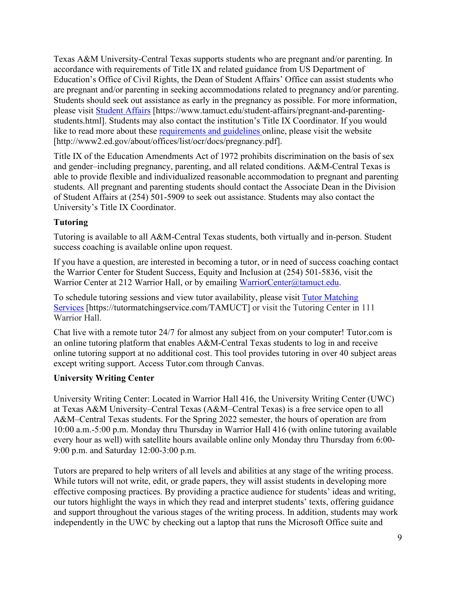Texas A&M University-Central Texas supports students who are pregnant and/or parenting. In accordance with requirements of Title IX and related guidance from US Department of Education's Office of Civil Rights, the Dean of Student Affairs' Office can assist students who are pregnant and/or parenting in seeking accommodations related to pregnancy and/or parenting. Students should seek out assistance as early in the pregnancy as possible. For more information, please visit [Student Affairs](https://www.tamuct.edu/student-affairs/pregnant-and-parenting-students.html) [https://www.tamuct.edu/student-affairs/pregnant-and-parentingstudents.html]. Students may also contact the institution's Title IX Coordinator. If you would like to read more about these [requirements and guidelines](http://www2.ed.gov/about/offices/list/ocr/docs/pregnancy.pdf) online, please visit the website [http://www2.ed.gov/about/offices/list/ocr/docs/pregnancy.pdf].

Title IX of the Education Amendments Act of 1972 prohibits discrimination on the basis of sex and gender–including pregnancy, parenting, and all related conditions. A&M-Central Texas is able to provide flexible and individualized reasonable accommodation to pregnant and parenting students. All pregnant and parenting students should contact the Associate Dean in the Division of Student Affairs at (254) 501-5909 to seek out assistance. Students may also contact the University's Title IX Coordinator.

## **Tutoring**

Tutoring is available to all A&M-Central Texas students, both virtually and in-person. Student success coaching is available online upon request.

If you have a question, are interested in becoming a tutor, or in need of success coaching contact the Warrior Center for Student Success, Equity and Inclusion at (254) 501-5836, visit the Warrior Center at 212 Warrior Hall, or by emailing [WarriorCenter@tamuct.edu.](mailto:WarriorCenter@tamuct.edu)

To schedule tutoring sessions and view tutor availability, please visit Tutor [Matching](https://tutormatchingservice.com/TAMUCT) [Services](https://tutormatchingservice.com/TAMUCT) [https://tutormatchingservice.com/TAMUCT] or visit the Tutoring Center in 111 Warrior Hall.

Chat live with a remote tutor 24/7 for almost any subject from on your computer! Tutor.com is an online tutoring platform that enables A&M-Central Texas students to log in and receive online tutoring support at no additional cost. This tool provides tutoring in over 40 subject areas except writing support. Access Tutor.com through Canvas.

## **University Writing Center**

University Writing Center: Located in Warrior Hall 416, the University Writing Center (UWC) at Texas A&M University–Central Texas (A&M–Central Texas) is a free service open to all A&M–Central Texas students. For the Spring 2022 semester, the hours of operation are from 10:00 a.m.-5:00 p.m. Monday thru Thursday in Warrior Hall 416 (with online tutoring available every hour as well) with satellite hours available online only Monday thru Thursday from 6:00- 9:00 p.m. and Saturday 12:00-3:00 p.m.

Tutors are prepared to help writers of all levels and abilities at any stage of the writing process. While tutors will not write, edit, or grade papers, they will assist students in developing more effective composing practices. By providing a practice audience for students' ideas and writing, our tutors highlight the ways in which they read and interpret students' texts, offering guidance and support throughout the various stages of the writing process. In addition, students may work independently in the UWC by checking out a laptop that runs the Microsoft Office suite and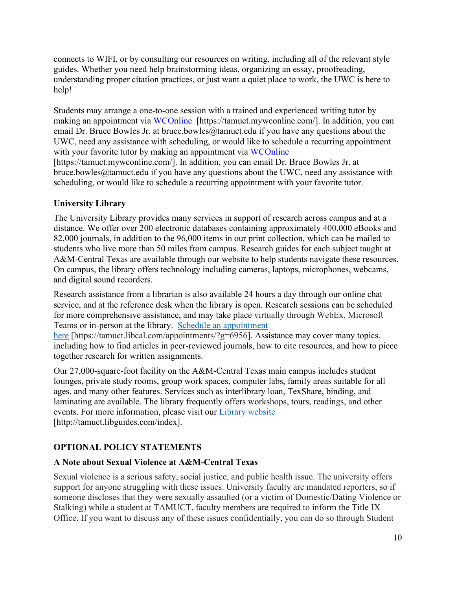connects to WIFI, or by consulting our resources on writing, including all of the relevant style guides. Whether you need help brainstorming ideas, organizing an essay, proofreading, understanding proper citation practices, or just want a quiet place to work, the UWC is here to help!

Students may arrange a one-to-one session with a trained and experienced writing tutor by making an appointment via [WCOnline](https://tamuct.mywconline.com/) [https://tamuct.mywconline.com/]. In addition, you can email Dr. Bruce Bowles Jr. at bruce.bowles@tamuct.edu if you have any questions about the UWC, need any assistance with scheduling, or would like to schedule a recurring appointment with your favorite tutor by making an appointment via [WCOnline](https://tamuct.mywconline.com/)

[https://tamuct.mywconline.com/]. In addition, you can email Dr. Bruce Bowles Jr. at bruce.bowles@tamuct.edu if you have any questions about the UWC, need any assistance with scheduling, or would like to schedule a recurring appointment with your favorite tutor.

# **University Library**

The University Library provides many services in support of research across campus and at a distance. We offer over 200 electronic databases containing approximately 400,000 eBooks and 82,000 journals, in addition to the 96,000 items in our print collection, which can be mailed to students who live more than 50 miles from campus. Research guides for each subject taught at A&M-Central Texas are available through our website to help students navigate these resources. On campus, the library offers technology including cameras, laptops, microphones, webcams, and digital sound recorders.

Research assistance from a librarian is also available 24 hours a day through our online chat service, and at the reference desk when the library is open. Research sessions can be scheduled for more comprehensive assistance, and may take place virtually through WebEx, Microsoft Teams or in-person at the library. Schedule an [appointment](https://nam04.safelinks.protection.outlook.com/?url=https%3A%2F%2Ftamuct.libcal.com%2Fappointments%2F%3Fg%3D6956&data=04%7C01%7Clisa.bunkowski%40tamuct.edu%7Cde2c07d9f5804f09518008d9ab7ba6ff%7C9eed4e3000f744849ff193ad8005acec%7C0%7C0%7C637729369835011558%7CUnknown%7CTWFpbGZsb3d8eyJWIjoiMC4wLjAwMDAiLCJQIjoiV2luMzIiLCJBTiI6Ik1haWwiLCJXVCI6Mn0%3D%7C3000&sdata=KhtjgRSAw9aq%2FoBsB6wyu8b7PSuGN5EGPypzr3Ty2No%3D&reserved=0)

[here](https://nam04.safelinks.protection.outlook.com/?url=https%3A%2F%2Ftamuct.libcal.com%2Fappointments%2F%3Fg%3D6956&data=04%7C01%7Clisa.bunkowski%40tamuct.edu%7Cde2c07d9f5804f09518008d9ab7ba6ff%7C9eed4e3000f744849ff193ad8005acec%7C0%7C0%7C637729369835011558%7CUnknown%7CTWFpbGZsb3d8eyJWIjoiMC4wLjAwMDAiLCJQIjoiV2luMzIiLCJBTiI6Ik1haWwiLCJXVCI6Mn0%3D%7C3000&sdata=KhtjgRSAw9aq%2FoBsB6wyu8b7PSuGN5EGPypzr3Ty2No%3D&reserved=0) [https://tamuct.libcal.com/appointments/?g=6956]. Assistance may cover many topics, including how to find articles in peer-reviewed journals, how to cite resources, and how to piece together research for written assignments.

Our 27,000-square-foot facility on the A&M-Central Texas main campus includes student lounges, private study rooms, group work spaces, computer labs, family areas suitable for all ages, and many other features. Services such as interlibrary loan, TexShare, binding, and laminating are available. The library frequently offers workshops, tours, readings, and other events. For more information, please visit our Library [website](https://nam04.safelinks.protection.outlook.com/?url=https%3A%2F%2Ftamuct.libguides.com%2Findex&data=04%7C01%7Clisa.bunkowski%40tamuct.edu%7C7d8489e8839a4915335f08d916f067f2%7C9eed4e3000f744849ff193ad8005acec%7C0%7C0%7C637566044056484222%7CUnknown%7CTWFpbGZsb3d8eyJWIjoiMC4wLjAwMDAiLCJQIjoiV2luMzIiLCJBTiI6Ik1haWwiLCJXVCI6Mn0%3D%7C1000&sdata=2R755V6rcIyedGrd4Os5rkgn1PvhHKU3kUV1vBKiHFo%3D&reserved=0) [http://tamuct.libguides.com/index].

# **OPTIONAL POLICY STATEMENTS**

# **A Note about Sexual Violence at A&M-Central Texas**

Sexual violence is a serious safety, social justice, and public health issue. The university offers support for anyone struggling with these issues. University faculty are mandated reporters, so if someone discloses that they were sexually assaulted (or a victim of Domestic/Dating Violence or Stalking) while a student at TAMUCT, faculty members are required to inform the Title IX Office. If you want to discuss any of these issues confidentially, you can do so through Student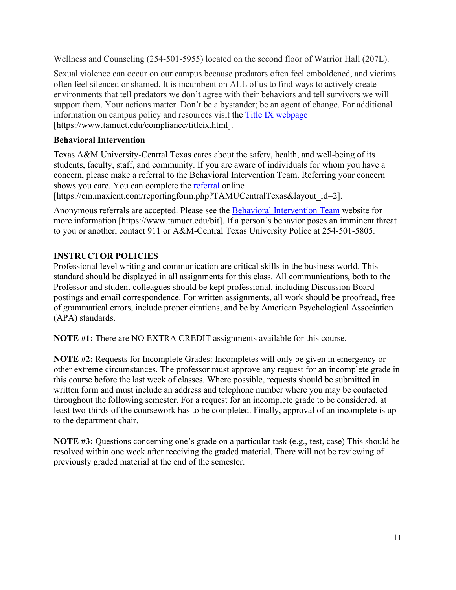Wellness and Counseling (254-501-5955) located on the second floor of Warrior Hall (207L).

Sexual violence can occur on our campus because predators often feel emboldened, and victims often feel silenced or shamed. It is incumbent on ALL of us to find ways to actively create environments that tell predators we don't agree with their behaviors and tell survivors we will support them. Your actions matter. Don't be a bystander; be an agent of change. For additional information on campus policy and resources visit the [Title IX webpage](https://www.tamuct.edu/compliance/titleix.html) [\[https://www.tamuct.edu/compliance/titleix.html\]](https://www.tamuct.edu/compliance/titleix.html).

# **Behavioral Intervention**

Texas A&M University-Central Texas cares about the safety, health, and well-being of its students, faculty, staff, and community. If you are aware of individuals for whom you have a concern, please make a referral to the Behavioral Intervention Team. Referring your concern shows you care. You can complete the [referral](https://cm.maxient.com/reportingform.php?TAMUCentralTexas&layout_id=2) online

[https://cm.maxient.com/reportingform.php?TAMUCentralTexas&layout\_id=2].

Anonymous referrals are accepted. Please see the **Behavioral Intervention Team** website for more information [https://www.tamuct.edu/bit]. If a person's behavior poses an imminent threat to you or another, contact 911 or A&M-Central Texas University Police at 254-501-5805.

# **INSTRUCTOR POLICIES**

Professional level writing and communication are critical skills in the business world. This standard should be displayed in all assignments for this class. All communications, both to the Professor and student colleagues should be kept professional, including Discussion Board postings and email correspondence. For written assignments, all work should be proofread, free of grammatical errors, include proper citations, and be by American Psychological Association (APA) standards.

**NOTE #1:** There are NO EXTRA CREDIT assignments available for this course.

**NOTE #2:** Requests for Incomplete Grades: Incompletes will only be given in emergency or other extreme circumstances. The professor must approve any request for an incomplete grade in this course before the last week of classes. Where possible, requests should be submitted in written form and must include an address and telephone number where you may be contacted throughout the following semester. For a request for an incomplete grade to be considered, at least two-thirds of the coursework has to be completed. Finally, approval of an incomplete is up to the department chair.

**NOTE #3:** Questions concerning one's grade on a particular task (e.g., test, case) This should be resolved within one week after receiving the graded material. There will not be reviewing of previously graded material at the end of the semester.